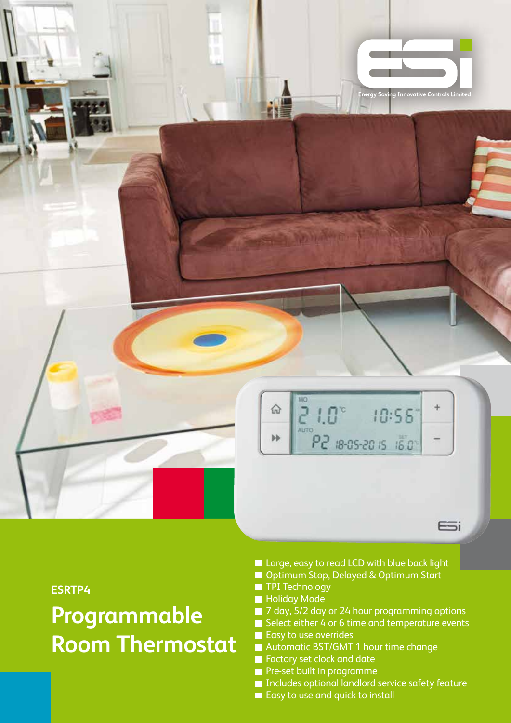

**ESRTP4**

**Programmable Room Thermostat**

- Large, easy to read LCD with blue back light
- Optimum Stop, Delayed & Optimum Start
- **TPI** Technology
- **Holiday Mode**
- 7 day, 5/2 day or 24 hour programming options
- Select either 4 or 6 time and temperature events
- Easy to use overrides
- Automatic BST/GMT 1 hour time change
- Factory set clock and date
- **Pre-set built in programme**
- Includes optional landlord service safety feature
- Easy to use and quick to install